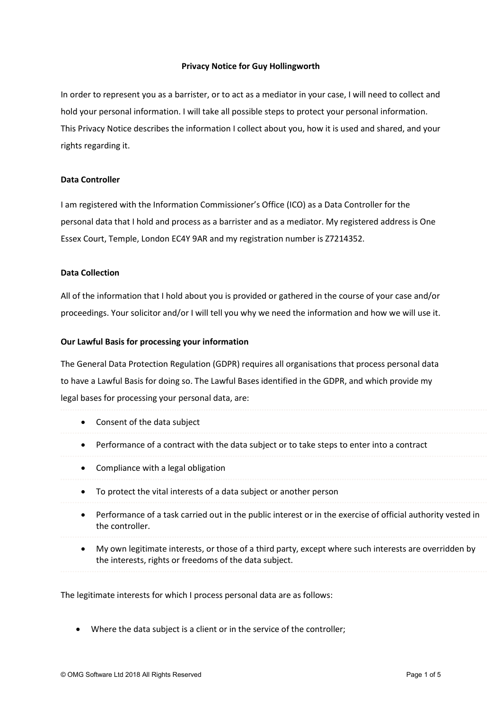### Privacy Notice for Guy Hollingworth

In order to represent you as a barrister, or to act as a mediator in your case, I will need to collect and hold your personal information. I will take all possible steps to protect your personal information. This Privacy Notice describes the information I collect about you, how it is used and shared, and your rights regarding it.

## Data Controller

I am registered with the Information Commissioner's Office (ICO) as a Data Controller for the personal data that I hold and process as a barrister and as a mediator. My registered address is One Essex Court, Temple, London EC4Y 9AR and my registration number is Z7214352.

### Data Collection

All of the information that I hold about you is provided or gathered in the course of your case and/or proceedings. Your solicitor and/or I will tell you why we need the information and how we will use it.

#### Our Lawful Basis for processing your information

The General Data Protection Regulation (GDPR) requires all organisations that process personal data to have a Lawful Basis for doing so. The Lawful Bases identified in the GDPR, and which provide my legal bases for processing your personal data, are:

 Consent of the data subject Performance of a contract with the data subject or to take steps to enter into a contract • Compliance with a legal obligation To protect the vital interests of a data subject or another person Performance of a task carried out in the public interest or in the exercise of official authority vested in the controller. My own legitimate interests, or those of a third party, except where such interests are overridden by the interests, rights or freedoms of the data subject.

The legitimate interests for which I process personal data are as follows:

Where the data subject is a client or in the service of the controller;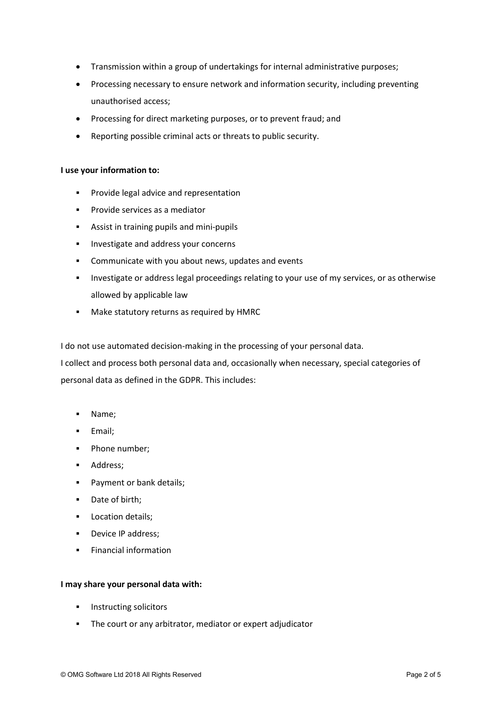- Transmission within a group of undertakings for internal administrative purposes;
- Processing necessary to ensure network and information security, including preventing unauthorised access;
- Processing for direct marketing purposes, or to prevent fraud; and
- Reporting possible criminal acts or threats to public security.

### I use your information to:

- **Provide legal advice and representation**
- **Provide services as a mediator**
- Assist in training pupils and mini-pupils
- **Investigate and address your concerns**
- **EXECOMMUNICATE With you about news, updates and events**
- Investigate or address legal proceedings relating to your use of my services, or as otherwise allowed by applicable law
- Make statutory returns as required by HMRC

I do not use automated decision-making in the processing of your personal data.

I collect and process both personal data and, occasionally when necessary, special categories of personal data as defined in the GDPR. This includes:

- Name;
- **Email**;
- Phone number;
- **Address**;
- **Payment or bank details;**
- Date of birth;
- **Location details;**
- **Device IP address;**
- Financial information

## I may share your personal data with:

- **Instructing solicitors**
- The court or any arbitrator, mediator or expert adjudicator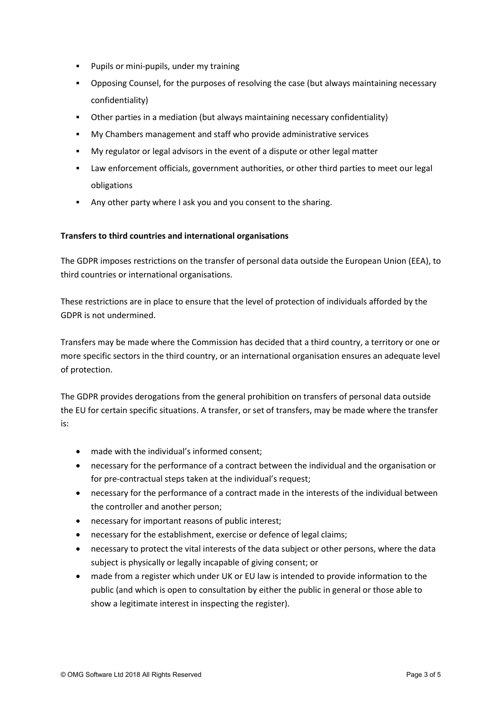- **Pupils or mini-pupils, under my training**
- Opposing Counsel, for the purposes of resolving the case (but always maintaining necessary confidentiality)
- Other parties in a mediation (but always maintaining necessary confidentiality)
- My Chambers management and staff who provide administrative services
- My regulator or legal advisors in the event of a dispute or other legal matter
- Law enforcement officials, government authorities, or other third parties to meet our legal obligations
- Any other party where I ask you and you consent to the sharing.

# Transfers to third countries and international organisations

The GDPR imposes restrictions on the transfer of personal data outside the European Union (EEA), to third countries or international organisations.

These restrictions are in place to ensure that the level of protection of individuals afforded by the GDPR is not undermined.

Transfers may be made where the Commission has decided that a third country, a territory or one or more specific sectors in the third country, or an international organisation ensures an adequate level of protection.

The GDPR provides derogations from the general prohibition on transfers of personal data outside the EU for certain specific situations. A transfer, or set of transfers, may be made where the transfer is:

- made with the individual's informed consent;
- necessary for the performance of a contract between the individual and the organisation or for pre-contractual steps taken at the individual's request;
- necessary for the performance of a contract made in the interests of the individual between the controller and another person;
- necessary for important reasons of public interest;
- necessary for the establishment, exercise or defence of legal claims;
- necessary to protect the vital interests of the data subject or other persons, where the data subject is physically or legally incapable of giving consent; or
- made from a register which under UK or EU law is intended to provide information to the public (and which is open to consultation by either the public in general or those able to show a legitimate interest in inspecting the register).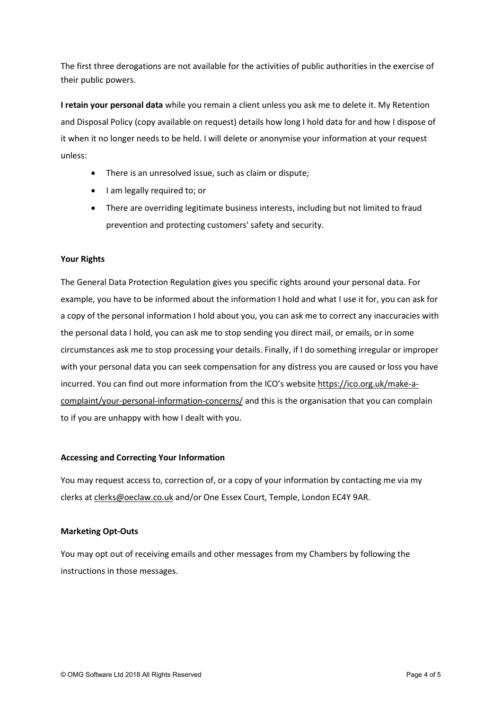The first three derogations are not available for the activities of public authorities in the exercise of their public powers.

I retain your personal data while you remain a client unless you ask me to delete it. My Retention and Disposal Policy (copy available on request) details how long I hold data for and how I dispose of it when it no longer needs to be held. I will delete or anonymise your information at your request unless:

- There is an unresolved issue, such as claim or dispute;
- I am legally required to; or
- There are overriding legitimate business interests, including but not limited to fraud prevention and protecting customers' safety and security.

## Your Rights

The General Data Protection Regulation gives you specific rights around your personal data. For example, you have to be informed about the information I hold and what I use it for, you can ask for a copy of the personal information I hold about you, you can ask me to correct any inaccuracies with the personal data I hold, you can ask me to stop sending you direct mail, or emails, or in some circumstances ask me to stop processing your details. Finally, if I do something irregular or improper with your personal data you can seek compensation for any distress you are caused or loss you have incurred. You can find out more information from the ICO's website https://ico.org.uk/make-acomplaint/your-personal-information-concerns/ and this is the organisation that you can complain to if you are unhappy with how I dealt with you.

## Accessing and Correcting Your Information

You may request access to, correction of, or a copy of your information by contacting me via my clerks at clerks@oeclaw.co.uk and/or One Essex Court, Temple, London EC4Y 9AR.

## Marketing Opt-Outs

You may opt out of receiving emails and other messages from my Chambers by following the instructions in those messages.